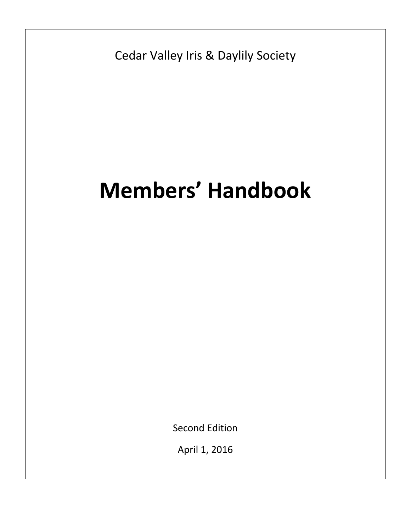Cedar Valley Iris & Daylily Society

# **Members' Handbook**

Second Edition

April 1, 2016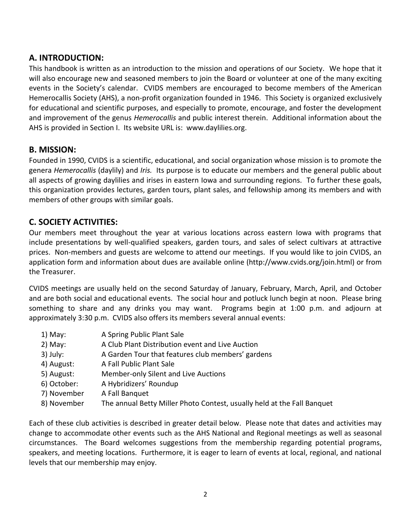# **A. INTRODUCTION:**

This handbook is written as an introduction to the mission and operations of our Society. We hope that it will also encourage new and seasoned members to join the Board or volunteer at one of the many exciting events in the Society's calendar. CVIDS members are encouraged to become members of the American Hemerocallis Society (AHS), a non-profit organization founded in 1946. This Society is organized exclusively for educational and scientific purposes, and especially to promote, encourage, and foster the development and improvement of the genus *Hemerocallis* and public interest therein. Additional information about the AHS is provided in Section I. Its website URL is: [www.daylilies.org.](https://email.uiowa.edu/owa/redir.aspx?C=7cGNMrrZa0axgiewpqtVnQoMLORRM9EIsNHYRTENbnnk29erTA9UU_U32inkOX0WXVpNAbEDlcM.&URL=http%3a%2f%2fwww.daylilies.org)

## **B. MISSION:**

Founded in 1990, CVIDS is a scientific, educational, and social organization whose mission is to promote the genera *Hemerocallis* (daylily) and *Iris.* Its purpose is to educate our members and the general public about all aspects of growing daylilies and irises in eastern Iowa and surrounding regions. To further these goals, this organization provides lectures, garden tours, plant sales, and fellowship among its members and with members of other groups with similar goals.

# **C. SOCIETY ACTIVITIES:**

Our members meet throughout the year at various locations across eastern Iowa with programs that include presentations by well-qualified speakers, garden tours, and sales of select cultivars at attractive prices. Non-members and guests are welcome to attend our meetings. If you would like to join CVIDS, an application form and information about dues are available online [\(http://www.cvids.org/join.html\)](http://www.cvids.org/join.html) or from the Treasurer.

CVIDS meetings are usually held on the second Saturday of January, February, March, April, and October and are both social and educational events. The social hour and potluck lunch begin at noon. Please bring something to share and any drinks you may want. Programs begin at 1:00 p.m. and adjourn at approximately 3:30 p.m. CVIDS also offers its members several annual events:

- 1) May: A Spring Public Plant Sale
- 2) May: A Club Plant Distribution event and Live Auction
- 3) July: A Garden Tour that features club members' gardens
- 4) August: A Fall Public Plant Sale
- 5) August: Member-only Silent and Live Auctions
- 6) October: A Hybridizers' Roundup
- 7) November A Fall Banquet
- 8) November The annual Betty Miller Photo Contest, usually held at the Fall Banquet

Each of these club activities is described in greater detail below. Please note that dates and activities may change to accommodate other events such as the AHS National and Regional meetings as well as seasonal circumstances. The Board welcomes suggestions from the membership regarding potential programs, speakers, and meeting locations. Furthermore, it is eager to learn of events at local, regional, and national levels that our membership may enjoy.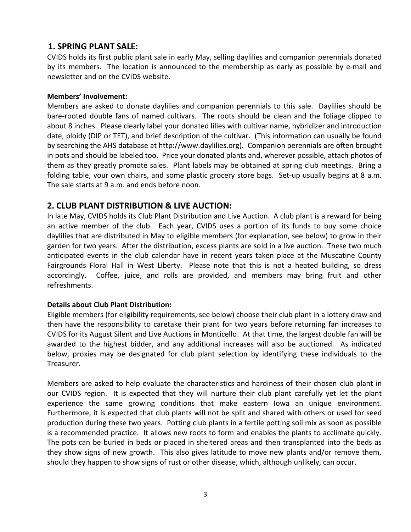## **1. SPRING PLANT SALE:**

CVIDS holds its first public plant sale in early May, selling daylilies and companion perennials donated by its members. The location is announced to the membership as early as possible by e-mail and newsletter and on the CVIDS website.

### **Members' Involvement:**

Members are asked to donate daylilies and companion perennials to this sale. Daylilies should be bare-rooted double fans of named cultivars. The roots should be clean and the foliage clipped to about 8 inches. Please clearly label your donated lilies with cultivar name, hybridizer and introduction date, ploidy (DIP or TET), and brief description of the cultivar. (This information can usually be found by searching the AHS database at http:/[/www.daylilies.org\)](http://www.daylilies.org/). Companion perennials are often brought in pots and should be labeled too. Price your donated plants and, wherever possible, attach photos of them as they greatly promote sales. Plant labels may be obtained at spring club meetings. Bring a folding table, your own chairs, and some plastic grocery store bags. Set-up usually begins at 8 a.m. The sale starts at 9 a.m. and ends before noon.

## **2. CLUB PLANT DISTRIBUTION & LIVE AUCTION:**

In late May, CVIDS holds its Club Plant Distribution and Live Auction. A club plant is a reward for being an active member of the club. Each year, CVIDS uses a portion of its funds to buy some choice daylilies that are distributed in May to eligible members (for explanation, see below) to grow in their garden for two years. After the distribution, excess plants are sold in a live auction. These two much anticipated events in the club calendar have in recent years taken place at the Muscatine County Fairgrounds Floral Hall in West Liberty. Please note that this is not a heated building, so dress accordingly. Coffee, juice, and rolls are provided, and members may bring fruit and other refreshments.

## **Details about Club Plant Distribution:**

Eligible members (for eligibility requirements, see below) choose their club plant in a lottery draw and then have the responsibility to caretake their plant for two years before returning fan increases to CVIDS for its August Silent and Live Auctions in Monticello. At that time, the largest double fan will be awarded to the highest bidder, and any additional increases will also be auctioned. As indicated below, proxies may be designated for club plant selection by identifying these individuals to the Treasurer.

Members are asked to help evaluate the characteristics and hardiness of their chosen club plant in our CVIDS region. It is expected that they will nurture their club plant carefully yet let the plant experience the same growing conditions that make eastern Iowa an unique environment. Furthermore, it is expected that club plants will not be split and shared with others or used for seed production during these two years. Potting club plants in a fertile potting soil mix as soon as possible is a recommended practice. It allows new roots to form and enables the plants to acclimate quickly. The pots can be buried in beds or placed in sheltered areas and then transplanted into the beds as they show signs of new growth. This also gives latitude to move new plants and/or remove them, should they happen to show signs of rust or other disease, which, although unlikely, can occur.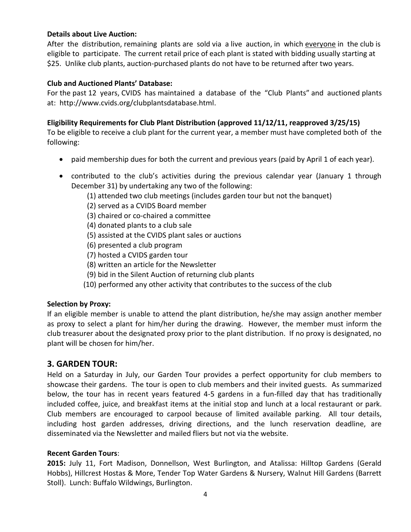#### **Details about Live Auction:**

After the distribution, remaining plants are sold via a live auction, in which everyone in the club is eligible to participate. The current retail price of each plant is stated with bidding usually starting at \$25. Unlike club plants, auction-purchased plants do not have to be returned after two years.

### **Club and Auctioned Plants' Database:**

For the past 12 years, CVIDS has maintained a database of the "Club Plants" and auctioned plants at: [http://www.cvids.org/clubplantsdatabase.html.](http://www.cvids.org/clubplantsdatabase.html)

## **Eligibility Requirements for Club Plant Distribution (approved 11/12/11, reapproved 3/25/15)**

To be eligible to receive a club plant for the current year, a member must have completed both of the following:

- paid membership dues for both the current and previous years (paid by April 1 of each year).
- contributed to the club's activities during the previous calendar year (January 1 through December 31) by undertaking any two of the following:
	- (1) attended two club meetings (includes garden tour but not the banquet)
	- (2) served as a CVIDS Board member
	- (3) chaired or co-chaired a committee
	- (4) donated plants to a club sale
	- (5) assisted at the CVIDS plant sales or auctions
	- (6) presented a club program
	- (7) hosted a CVIDS garden tour
	- (8) written an article for the Newsletter
	- (9) bid in the Silent Auction of returning club plants
	- (10) performed any other activity that contributes to the success of the club

#### **Selection by Proxy:**

If an eligible member is unable to attend the plant distribution, he/she may assign another member as proxy to select a plant for him/her during the drawing. However, the member must inform the club treasurer about the designated proxy prior to the plant distribution. If no proxy is designated, no plant will be chosen for him/her.

## **3. GARDEN TOUR:**

Held on a Saturday in July, our Garden Tour provides a perfect opportunity for club members to showcase their gardens. The tour is open to club members and their invited guests. As summarized below, the tour has in recent years featured 4-5 gardens in a fun-filled day that has traditionally included coffee, juice, and breakfast items at the initial stop and lunch at a local restaurant or park. Club members are encouraged to carpool because of limited available parking. All tour details, including host garden addresses, driving directions, and the lunch reservation deadline, are disseminated via the Newsletter and mailed fliers but not via the website.

#### **Recent Garden Tours**:

**2015:** July 11, Fort Madison, Donnellson, West Burlington, and Atalissa: Hilltop Gardens (Gerald Hobbs), Hillcrest Hostas & More, Tender Top Water Gardens & Nursery, Walnut Hill Gardens (Barrett Stoll). Lunch: Buffalo Wildwings, Burlington.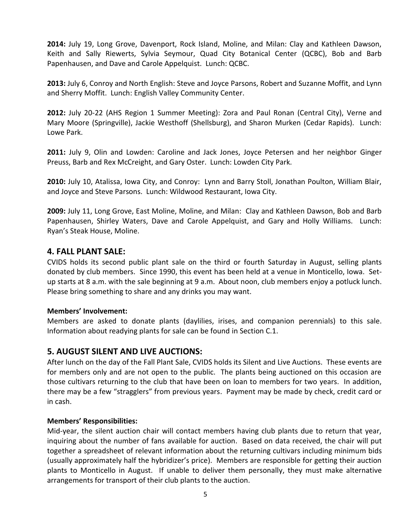**2014:** July 19, Long Grove, Davenport, Rock Island, Moline, and Milan: Clay and Kathleen Dawson, Keith and Sally Riewerts, Sylvia Seymour, Quad City Botanical Center (QCBC), Bob and Barb Papenhausen, and Dave and Carole Appelquist. Lunch: QCBC.

**2013:** July 6, Conroy and North English: Steve and Joyce Parsons, Robert and Suzanne Moffit, and Lynn and Sherry Moffit. Lunch: English Valley Community Center.

**2012:** July 20-22 (AHS Region 1 Summer Meeting): Zora and Paul Ronan (Central City), Verne and Mary Moore (Springville), Jackie Westhoff (Shellsburg), and Sharon Murken (Cedar Rapids). Lunch: Lowe Park.

**2011:** July 9, Olin and Lowden: Caroline and Jack Jones, Joyce Petersen and her neighbor Ginger Preuss, Barb and Rex McCreight, and Gary Oster. Lunch: Lowden City Park.

**2010:** July 10, Atalissa, Iowa City, and Conroy: Lynn and Barry Stoll, Jonathan Poulton, William Blair, and Joyce and Steve Parsons. Lunch: Wildwood Restaurant, Iowa City.

**2009:** July 11, Long Grove, East Moline, Moline, and Milan: Clay and Kathleen Dawson, Bob and Barb Papenhausen, Shirley Waters, Dave and Carole Appelquist, and Gary and Holly Williams. Lunch: Ryan's Steak House, Moline.

## **4. FALL PLANT SALE:**

CVIDS holds its second public plant sale on the third or fourth Saturday in August, selling plants donated by club members. Since 1990, this event has been held at a venue in Monticello, Iowa. Setup starts at 8 a.m. with the sale beginning at 9 a.m. About noon, club members enjoy a potluck lunch. Please bring something to share and any drinks you may want.

#### **Members' Involvement:**

Members are asked to donate plants (daylilies, irises, and companion perennials) to this sale. Information about readying plants for sale can be found in Section C.1.

## **5. AUGUST SILENT AND LIVE AUCTIONS:**

After lunch on the day of the Fall Plant Sale, CVIDS holds its Silent and Live Auctions. These events are for members only and are not open to the public. The plants being auctioned on this occasion are those cultivars returning to the club that have been on loan to members for two years. In addition, there may be a few "stragglers" from previous years. Payment may be made by check, credit card or in cash.

#### **Members' Responsibilities:**

Mid-year, the silent auction chair will contact members having club plants due to return that year, inquiring about the number of fans available for auction. Based on data received, the chair will put together a spreadsheet of relevant information about the returning cultivars including minimum bids (usually approximately half the hybridizer's price). Members are responsible for getting their auction plants to Monticello in August. If unable to deliver them personally, they must make alternative arrangements for transport of their club plants to the auction.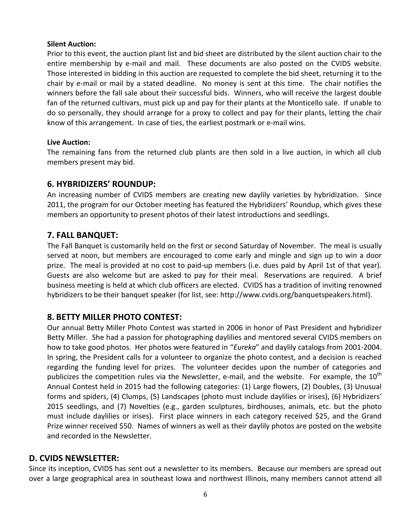#### **Silent Auction:**

Prior to this event, the auction plant list and bid sheet are distributed by the silent auction chair to the entire membership by e-mail and mail. These documents are also posted on the CVIDS website. Those interested in bidding in this auction are requested to complete the bid sheet, returning it to the chair by e-mail or mail by a stated deadline. No money is sent at this time. The chair notifies the winners before the fall sale about their successful bids. Winners, who will receive the largest double fan of the returned cultivars, must pick up and pay for their plants at the Monticello sale. If unable to do so personally, they should arrange for a proxy to collect and pay for their plants, letting the chair know of this arrangement. In case of ties, the earliest postmark or e-mail wins.

#### **Live Auction:**

The remaining fans from the returned club plants are then sold in a live auction, in which all club members present may bid.

## **6. HYBRIDIZERS' ROUNDUP:**

An increasing number of CVIDS members are creating new daylily varieties by hybridization. Since 2011, the program for our October meeting has featured the Hybridizers' Roundup, which gives these members an opportunity to present photos of their latest introductions and seedlings.

## **7. FALL BANQUET:**

The Fall Banquet is customarily held on the first or second Saturday of November. The meal is usually served at noon, but members are encouraged to come early and mingle and sign up to win a door prize. The meal is provided at no cost to paid-up members (i.e. dues paid by April 1st of that year). Guests are also welcome but are asked to pay for their meal. Reservations are required. A brief business meeting is held at which club officers are elected. CVIDS has a tradition of inviting renowned hybridizers to be their banquet speaker (for list, see: [http://www.cvids.org/banquetspeakers.html\)](http://www.cvids.org/banquetspeakers.html).

## **8. BETTY MILLER PHOTO CONTEST:**

Our annual Betty Miller Photo Contest was started in 2006 in honor of Past President and hybridizer Betty Miller. She had a passion for photographing daylilies and mentored several CVIDS members on how to take good photos. Her photos were featured in "*Eureka*" and daylily catalogs from 2001-2004. In spring, the President calls for a volunteer to organize the photo contest, and a decision is reached regarding the funding level for prizes. The volunteer decides upon the number of categories and publicizes the competition rules via the Newsletter, e-mail, and the website. For example, the  $10<sup>th</sup>$ Annual Contest held in 2015 had the following categories: (1) Large flowers, (2) Doubles, (3) Unusual forms and spiders, (4) Clumps, (5) Landscapes (photo must include daylilies or irises), (6) Hybridizers' 2015 seedlings, and (7) Novelties (e.g., garden sculptures, birdhouses, animals, etc. but the photo must include daylilies or irises). First place winners in each category received \$25, and the Grand Prize winner received \$50. Names of winners as well as their daylily photos are posted on the website and recorded in the Newsletter.

## **D. CVIDS NEWSLETTER:**

Since its inception, CVIDS has sent out a newsletter to its members. Because our members are spread out over a large geographical area in southeast Iowa and northwest Illinois, many members cannot attend all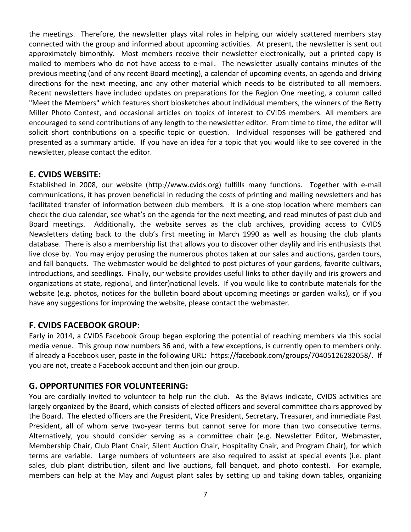the meetings. Therefore, the newsletter plays vital roles in helping our widely scattered members stay connected with the group and informed about upcoming activities. At present, the newsletter is sent out approximately bimonthly. Most members receive their newsletter electronically, but a printed copy is mailed to members who do not have access to e-mail. The newsletter usually contains minutes of the previous meeting (and of any recent Board meeting), a calendar of upcoming events, an agenda and driving directions for the next meeting, and any other material which needs to be distributed to all members. Recent newsletters have included updates on preparations for the Region One meeting, a column called "Meet the Members" which features short biosketches about individual members, the winners of the Betty Miller Photo Contest, and occasional articles on topics of interest to CVIDS members. All members are encouraged to send contributions of any length to the newsletter editor. From time to time, the editor will solicit short contributions on a specific topic or question. Individual responses will be gathered and presented as a summary article. If you have an idea for a topic that you would like to see covered in the newsletter, please contact the editor.

# **E. CVIDS WEBSITE:**

Established in 2008, our website (http:/[/www.cvids.org\)](http://www.cvids.org/) fulfills many functions. Together with e-mail communications, it has proven beneficial in reducing the costs of printing and mailing newsletters and has facilitated transfer of information between club members. It is a one-stop location where members can check the club calendar, see what's on the agenda for the next meeting, and read minutes of past club and Board meetings. Additionally, the website serves as the club archives, providing access to CVIDS Newsletters dating back to the club's first meeting in March 1990 as well as housing the club plants database. There is also a membership list that allows you to discover other daylily and iris enthusiasts that live close by. You may enjoy perusing the numerous photos taken at our sales and auctions, garden tours, and fall banquets. The webmaster would be delighted to post pictures of your gardens, favorite cultivars, introductions, and seedlings. Finally, our website provides useful links to other daylily and iris growers and organizations at state, regional, and (inter)national levels. If you would like to contribute materials for the website (e.g. photos, notices for the bulletin board about upcoming meetings or garden walks), or if you have any suggestions for improving the website, please contact the webmaster.

## **F. CVIDS FACEBOOK GROUP:**

Early in 2014, a CVIDS Facebook Group began exploring the potential of reaching members via this social media venue. This group now numbers 36 and, with a few exceptions, is currently open to members only. If already a Facebook user, paste in the following URL: [https://facebook.com/groups/70405126282058/.](https://facebook.com/groups/70405126282058/) If you are not, create a Facebook account and then join our group.

## **G. OPPORTUNITIES FOR VOLUNTEERING:**

You are cordially invited to volunteer to help run the club. As the Bylaws indicate, CVIDS activities are largely organized by the Board, which consists of elected officers and several committee chairs approved by the Board. The elected officers are the President, Vice President, Secretary, Treasurer, and immediate Past President, all of whom serve two-year terms but cannot serve for more than two consecutive terms. Alternatively, you should consider serving as a committee chair (e.g. Newsletter Editor, Webmaster, Membership Chair, Club Plant Chair, Silent Auction Chair, Hospitality Chair, and Program Chair), for which terms are variable. Large numbers of volunteers are also required to assist at special events (i.e. plant sales, club plant distribution, silent and live auctions, fall banquet, and photo contest). For example, members can help at the May and August plant sales by setting up and taking down tables, organizing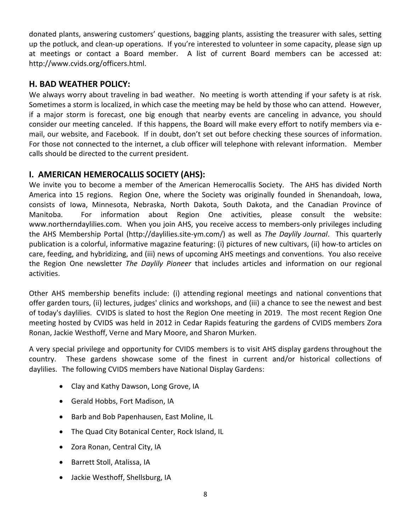donated plants, answering customers' questions, bagging plants, assisting the treasurer with sales, setting up the potluck, and clean-up operations. If you're interested to volunteer in some capacity, please sign up at meetings or contact a Board member. A list of current Board members can be accessed at: http://www.cvids.org/officers.html.

# **H. BAD WEATHER POLICY:**

We always worry about traveling in bad weather. No meeting is worth attending if your safety is at risk. Sometimes a storm is localized, in which case the meeting may be held by those who can attend. However, if a major storm is forecast, one big enough that nearby events are canceling in advance, you should consider our meeting canceled. If this happens, the Board will make every effort to notify members via email, our website, and Facebook. If in doubt, don't set out before checking these sources of information. For those not connected to the internet, a club officer will telephone with relevant information. Member calls should be directed to the current president.

# **I. AMERICAN HEMEROCALLIS SOCIETY (AHS):**

We invite you to become a member of the American Hemerocallis Society. The AHS has divided North America into 15 regions. Region One, where the Society was originally founded in Shenandoah, Iowa, consists of Iowa, Minnesota, Nebraska, North Dakota, South Dakota, and the Canadian Province of Manitoba. For information about Region One activities, please consult the website: [www.northerndaylilies.com.](http://www.northerndaylilies.com/) When you join AHS, you receive access to members-only privileges including the AHS Membership Portal [\(http://daylilies.site-ym.com/\)](http://daylilies.site-ym.com/) as well as *The Daylily Journal*. This quarterly publication is a colorful, informative magazine featuring: (i) pictures of new cultivars, (ii) how-to articles on care, feeding, and hybridizing, and (iii) news of upcoming AHS meetings and conventions. You also receive the Region One newsletter *The Daylily Pioneer* that includes articles and information on our regional activities.

Other AHS membership benefits include: (i) attending [regional meetings and national conventions](https://email.uiowa.edu/owa/redir.aspx?C=7cGNMrrZa0axgiewpqtVnQoMLORRM9EIsNHYRTENbnnk29erTA9UU_U32inkOX0WXVpNAbEDlcM.&URL=http%3a%2f%2fwww.daylilies.org%2fAHSconv.html) that offer garden tours, (ii) lectures, judges' clinics and workshops, and (iii) a chance to see the newest and best of today's daylilies. CVIDS is slated to host the Region One meeting in 2019. The most recent Region One meeting hosted by CVIDS was held in 2012 in Cedar Rapids featuring the gardens of CVIDS members Zora Ronan, Jackie Westhoff, Verne and Mary Moore, and Sharon Murken.

A very special privilege and opportunity for CVIDS members is to visit [AHS display gardens](https://email.uiowa.edu/owa/redir.aspx?C=7cGNMrrZa0axgiewpqtVnQoMLORRM9EIsNHYRTENbnnk29erTA9UU_U32inkOX0WXVpNAbEDlcM.&URL=http%3a%2f%2fwww.daylilies.org%2fAHSgardens.html) throughout the country. These gardens showcase some of the finest in current and/or historical collections of daylilies. The following CVIDS members have National Display Gardens:

- Clay and Kathy Dawson, Long Grove, IA
- Gerald Hobbs, Fort Madison, IA
- Barb and Bob Papenhausen, East Moline, IL
- The Quad City Botanical Center, Rock Island, IL
- Zora Ronan, Central City, IA
- Barrett Stoll, Atalissa, IA
- Jackie Westhoff, Shellsburg, IA